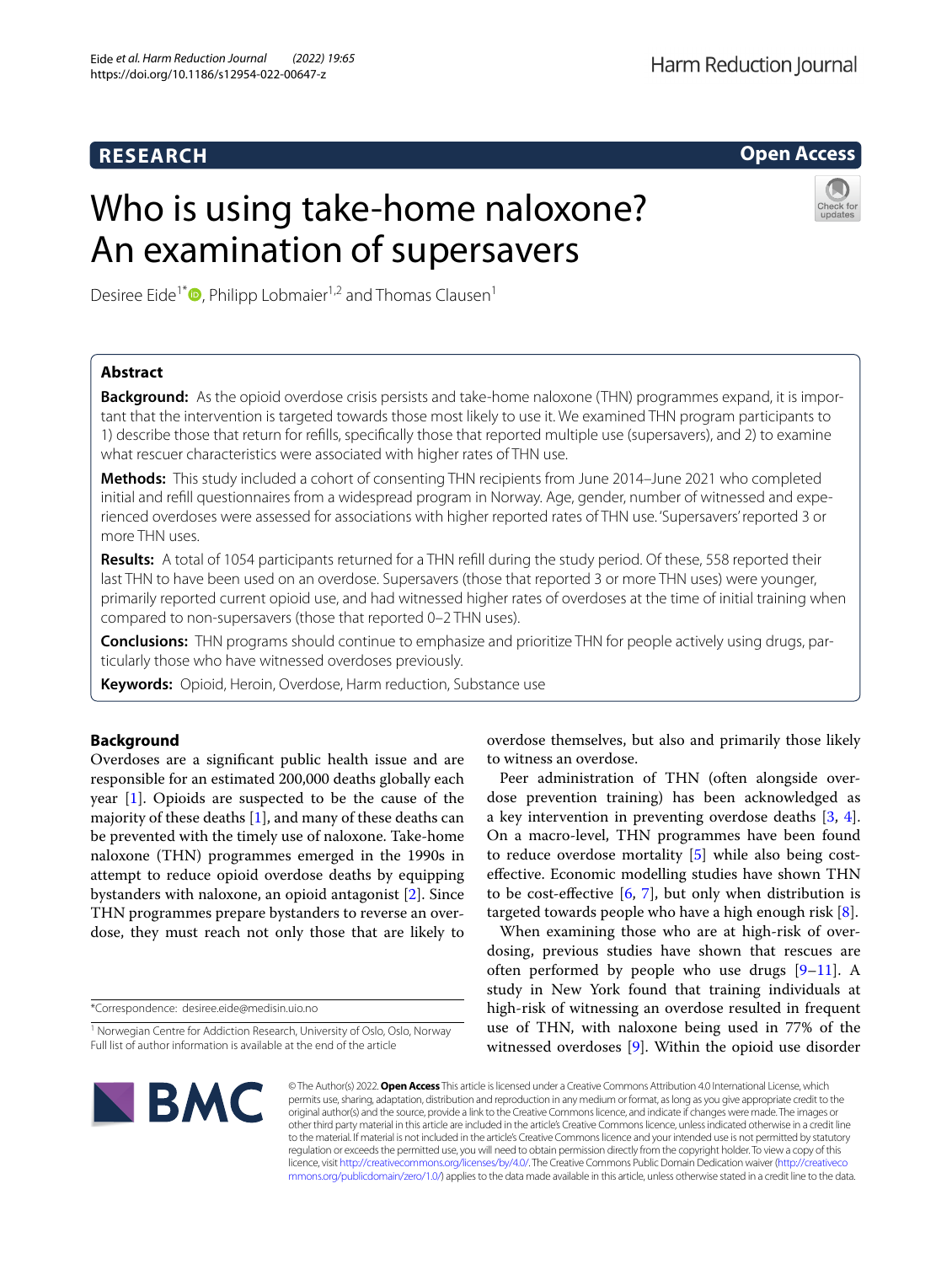# **RESEARCH**

# Harm Reduction Journal

**Open Access**

# Who is using take-home naloxone? An examination of supersavers



Desiree Eide<sup>1\*</sup><sup> $\bullet$ </sup>[,](http://orcid.org/0000-0002-4115-9099) Philipp Lobmaier<sup>1,2</sup> and Thomas Clausen<sup>1</sup>

# **Abstract**

**Background:** As the opioid overdose crisis persists and take-home naloxone (THN) programmes expand, it is important that the intervention is targeted towards those most likely to use it. We examined THN program participants to 1) describe those that return for reflls, specifcally those that reported multiple use (supersavers), and 2) to examine what rescuer characteristics were associated with higher rates of THN use.

**Methods:** This study included a cohort of consenting THN recipients from June 2014–June 2021 who completed initial and refll questionnaires from a widespread program in Norway. Age, gender, number of witnessed and experienced overdoses were assessed for associations with higher reported rates of THN use. 'Supersavers' reported 3 or more THN uses.

**Results:** A total of 1054 participants returned for a THN refll during the study period. Of these, 558 reported their last THN to have been used on an overdose. Supersavers (those that reported 3 or more THN uses) were younger, primarily reported current opioid use, and had witnessed higher rates of overdoses at the time of initial training when compared to non-supersavers (those that reported 0–2 THN uses).

**Conclusions:** THN programs should continue to emphasize and prioritize THN for people actively using drugs, particularly those who have witnessed overdoses previously.

**Keywords:** Opioid, Heroin, Overdose, Harm reduction, Substance use

# **Background**

Overdoses are a signifcant public health issue and are responsible for an estimated 200,000 deaths globally each year [\[1](#page-5-0)]. Opioids are suspected to be the cause of the majority of these deaths [\[1\]](#page-5-0), and many of these deaths can be prevented with the timely use of naloxone. Take-home naloxone (THN) programmes emerged in the 1990s in attempt to reduce opioid overdose deaths by equipping bystanders with naloxone, an opioid antagonist [[2\]](#page-5-1). Since THN programmes prepare bystanders to reverse an overdose, they must reach not only those that are likely to

\*Correspondence: desiree.eide@medisin.uio.no

overdose themselves, but also and primarily those likely to witness an overdose.

Peer administration of THN (often alongside overdose prevention training) has been acknowledged as a key intervention in preventing overdose deaths [\[3](#page-5-2), [4](#page-5-3)]. On a macro-level, THN programmes have been found to reduce overdose mortality [\[5](#page-5-4)] while also being costefective. Economic modelling studies have shown THN to be cost-effective  $[6, 7]$  $[6, 7]$  $[6, 7]$  $[6, 7]$ , but only when distribution is targeted towards people who have a high enough risk [[8\]](#page-5-7).

When examining those who are at high-risk of overdosing, previous studies have shown that rescues are often performed by people who use drugs  $[9-11]$  $[9-11]$ . A study in New York found that training individuals at high-risk of witnessing an overdose resulted in frequent use of THN, with naloxone being used in 77% of the witnessed overdoses [[9\]](#page-5-8). Within the opioid use disorder



© The Author(s) 2022. **Open Access** This article is licensed under a Creative Commons Attribution 4.0 International License, which permits use, sharing, adaptation, distribution and reproduction in any medium or format, as long as you give appropriate credit to the original author(s) and the source, provide a link to the Creative Commons licence, and indicate if changes were made. The images or other third party material in this article are included in the article's Creative Commons licence, unless indicated otherwise in a credit line to the material. If material is not included in the article's Creative Commons licence and your intended use is not permitted by statutory regulation or exceeds the permitted use, you will need to obtain permission directly from the copyright holder. To view a copy of this licence, visit [http://creativecommons.org/licenses/by/4.0/.](http://creativecommons.org/licenses/by/4.0/) The Creative Commons Public Domain Dedication waiver ([http://creativeco](http://creativecommons.org/publicdomain/zero/1.0/) [mmons.org/publicdomain/zero/1.0/](http://creativecommons.org/publicdomain/zero/1.0/)) applies to the data made available in this article, unless otherwise stated in a credit line to the data.

<sup>&</sup>lt;sup>1</sup> Norwegian Centre for Addiction Research, University of Oslo, Oslo, Norway Full list of author information is available at the end of the article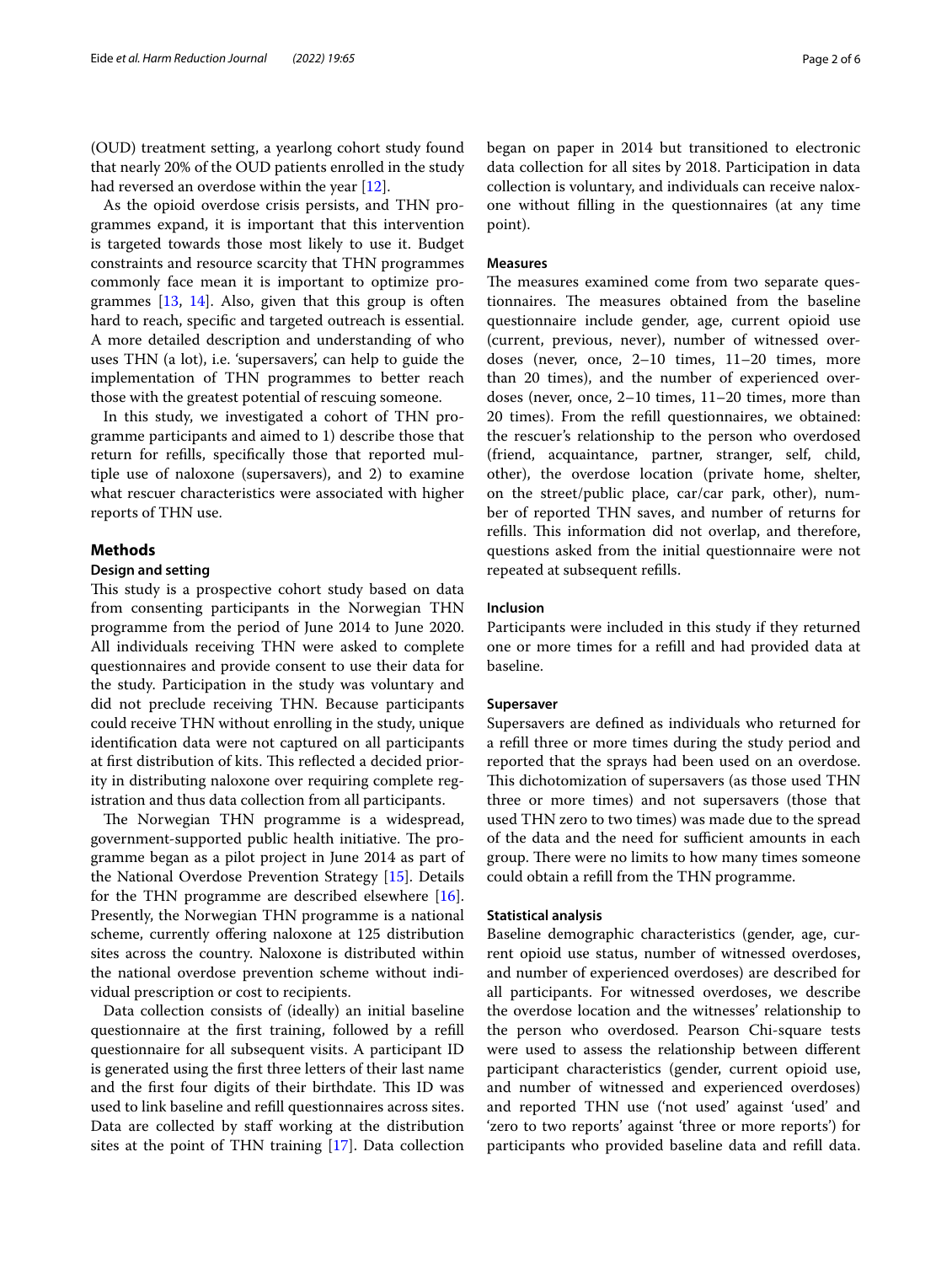(OUD) treatment setting, a yearlong cohort study found that nearly 20% of the OUD patients enrolled in the study had reversed an overdose within the year [\[12\]](#page-5-10).

As the opioid overdose crisis persists, and THN programmes expand, it is important that this intervention is targeted towards those most likely to use it. Budget constraints and resource scarcity that THN programmes commonly face mean it is important to optimize programmes  $[13, 14]$  $[13, 14]$  $[13, 14]$  $[13, 14]$ . Also, given that this group is often hard to reach, specifc and targeted outreach is essential. A more detailed description and understanding of who uses THN (a lot), i.e. 'supersavers', can help to guide the implementation of THN programmes to better reach those with the greatest potential of rescuing someone.

In this study, we investigated a cohort of THN programme participants and aimed to 1) describe those that return for reflls, specifcally those that reported multiple use of naloxone (supersavers), and 2) to examine what rescuer characteristics were associated with higher reports of THN use.

# **Methods**

### **Design and setting**

This study is a prospective cohort study based on data from consenting participants in the Norwegian THN programme from the period of June 2014 to June 2020. All individuals receiving THN were asked to complete questionnaires and provide consent to use their data for the study. Participation in the study was voluntary and did not preclude receiving THN. Because participants could receive THN without enrolling in the study, unique identifcation data were not captured on all participants at first distribution of kits. This reflected a decided priority in distributing naloxone over requiring complete registration and thus data collection from all participants.

The Norwegian THN programme is a widespread, government-supported public health initiative. The programme began as a pilot project in June 2014 as part of the National Overdose Prevention Strategy [\[15](#page-5-13)]. Details for the THN programme are described elsewhere [\[16](#page-5-14)]. Presently, the Norwegian THN programme is a national scheme, currently ofering naloxone at 125 distribution sites across the country. Naloxone is distributed within the national overdose prevention scheme without individual prescription or cost to recipients.

Data collection consists of (ideally) an initial baseline questionnaire at the frst training, followed by a refll questionnaire for all subsequent visits. A participant ID is generated using the frst three letters of their last name and the first four digits of their birthdate. This ID was used to link baseline and refll questionnaires across sites. Data are collected by staff working at the distribution sites at the point of THN training [\[17](#page-5-15)]. Data collection began on paper in 2014 but transitioned to electronic data collection for all sites by 2018. Participation in data collection is voluntary, and individuals can receive naloxone without flling in the questionnaires (at any time point).

#### **Measures**

The measures examined come from two separate questionnaires. The measures obtained from the baseline questionnaire include gender, age, current opioid use (current, previous, never), number of witnessed overdoses (never, once, 2–10 times, 11–20 times, more than 20 times), and the number of experienced overdoses (never, once, 2–10 times, 11–20 times, more than 20 times). From the refll questionnaires, we obtained: the rescuer's relationship to the person who overdosed (friend, acquaintance, partner, stranger, self, child, other), the overdose location (private home, shelter, on the street/public place, car/car park, other), number of reported THN saves, and number of returns for refills. This information did not overlap, and therefore, questions asked from the initial questionnaire were not repeated at subsequent reflls.

# **Inclusion**

Participants were included in this study if they returned one or more times for a refll and had provided data at baseline.

# **Supersaver**

Supersavers are defned as individuals who returned for a refll three or more times during the study period and reported that the sprays had been used on an overdose. This dichotomization of supersavers (as those used THN three or more times) and not supersavers (those that used THN zero to two times) was made due to the spread of the data and the need for sufficient amounts in each group. There were no limits to how many times someone could obtain a refll from the THN programme.

### **Statistical analysis**

Baseline demographic characteristics (gender, age, current opioid use status, number of witnessed overdoses, and number of experienced overdoses) are described for all participants. For witnessed overdoses, we describe the overdose location and the witnesses' relationship to the person who overdosed. Pearson Chi-square tests were used to assess the relationship between diferent participant characteristics (gender, current opioid use, and number of witnessed and experienced overdoses) and reported THN use ('not used' against 'used' and 'zero to two reports' against 'three or more reports') for participants who provided baseline data and refll data.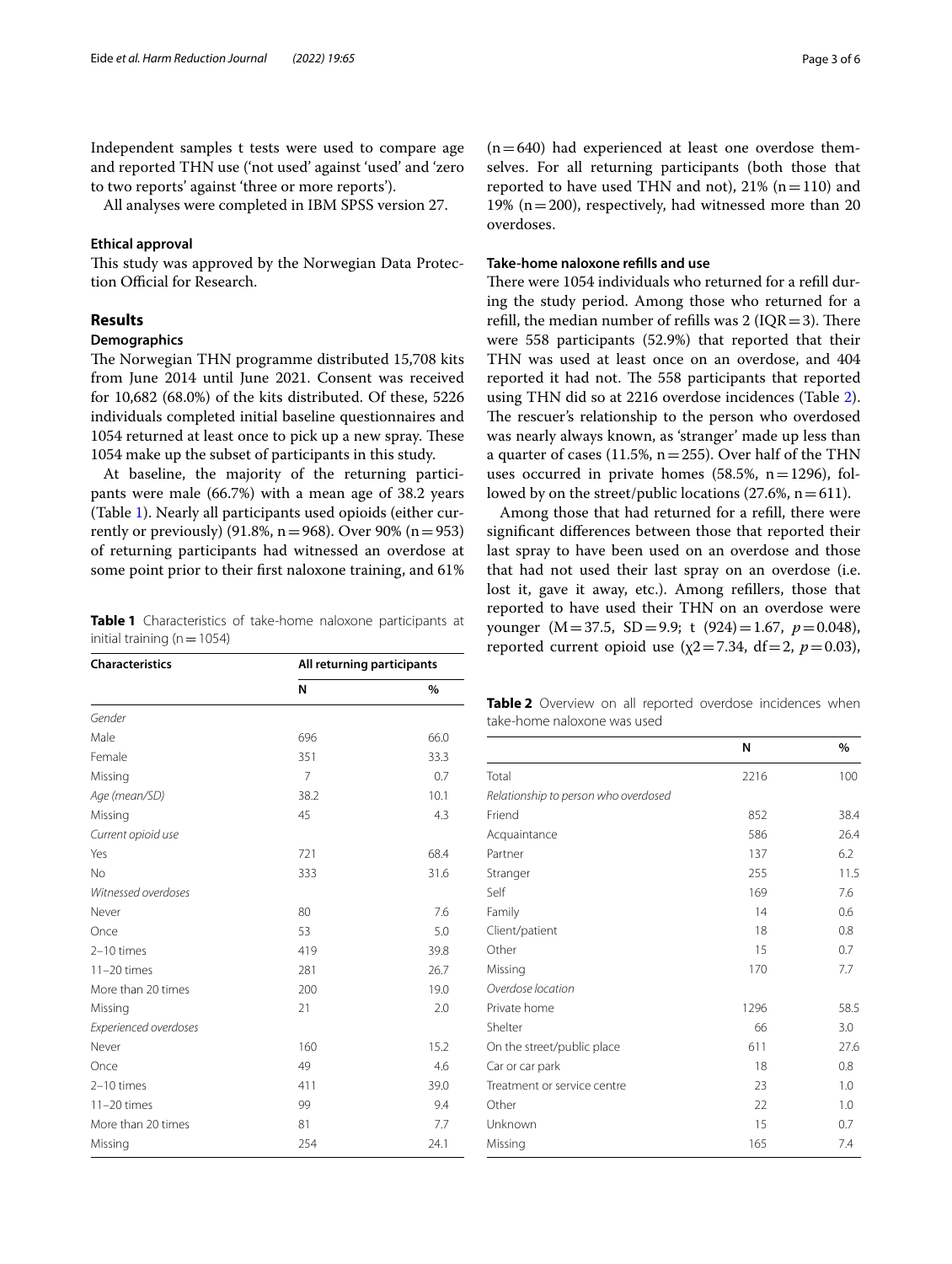Independent samples t tests were used to compare age and reported THN use ('not used' against 'used' and 'zero to two reports' against 'three or more reports').

All analyses were completed in IBM SPSS version 27.

# **Ethical approval**

This study was approved by the Norwegian Data Protection Official for Research.

# **Results**

# **Demographics**

The Norwegian THN programme distributed 15,708 kits from June 2014 until June 2021. Consent was received for 10,682 (68.0%) of the kits distributed. Of these, 5226 individuals completed initial baseline questionnaires and 1054 returned at least once to pick up a new spray. These 1054 make up the subset of participants in this study.

At baseline, the majority of the returning participants were male (66.7%) with a mean age of 38.2 years (Table [1\)](#page-2-0). Nearly all participants used opioids (either currently or previously) (91.8%,  $n = 968$ ). Over 90% ( $n = 953$ ) of returning participants had witnessed an overdose at some point prior to their frst naloxone training, and 61%

<span id="page-2-0"></span>**Table 1** Characteristics of take-home naloxone participants at initial training ( $n=1054$ )

| <b>Characteristics</b> | All returning participants |      |  |  |
|------------------------|----------------------------|------|--|--|
|                        | N                          | %    |  |  |
| Gender                 |                            |      |  |  |
| Male                   | 696                        | 66.0 |  |  |
| Female                 | 351                        | 33.3 |  |  |
| Missing                | 7                          | 0.7  |  |  |
| Age (mean/SD)          | 38.2                       | 10.1 |  |  |
| Missing                | 45                         | 4.3  |  |  |
| Current opioid use     |                            |      |  |  |
| Yes                    | 721                        | 68.4 |  |  |
| No                     | 333                        | 31.6 |  |  |
| Witnessed overdoses    |                            |      |  |  |
| Never                  | 80                         | 7.6  |  |  |
| Once                   | 53                         | 5.0  |  |  |
| 2-10 times             | 419                        | 39.8 |  |  |
| $11-20$ times          | 281                        | 26.7 |  |  |
| More than 20 times     | 200                        | 19.0 |  |  |
| Missing                | 21                         | 2.0  |  |  |
| Experienced overdoses  |                            |      |  |  |
| Never                  | 160                        | 15.2 |  |  |
| Once                   | 49                         | 4.6  |  |  |
| 2-10 times             | 411                        | 39.0 |  |  |
| $11-20$ times          | 99                         | 9.4  |  |  |
| More than 20 times     | 81                         | 7.7  |  |  |
| Missing                | 254                        | 24.1 |  |  |

 $(n=640)$  had experienced at least one overdose themselves. For all returning participants (both those that reported to have used THN and not),  $21\%$  (n=110) and 19% ( $n=200$ ), respectively, had witnessed more than 20 overdoses.

# **Take‑home naloxone reflls and use**

There were 1054 individuals who returned for a refill during the study period. Among those who returned for a refill, the median number of refills was  $2 (IQR=3)$ . There were 558 participants (52.9%) that reported that their THN was used at least once on an overdose, and 404 reported it had not. The 558 participants that reported using THN did so at 2216 overdose incidences (Table [2](#page-2-1)). The rescuer's relationship to the person who overdosed was nearly always known, as 'stranger' made up less than a quarter of cases (11.5%,  $n=255$ ). Over half of the THN uses occurred in private homes  $(58.5\%, n=1296)$ , followed by on the street/public locations  $(27.6\%, n=611)$ .

Among those that had returned for a refll, there were signifcant diferences between those that reported their last spray to have been used on an overdose and those that had not used their last spray on an overdose (i.e. lost it, gave it away, etc.). Among refllers, those that reported to have used their THN on an overdose were younger (M=37.5, SD=9.9; t (924)=1.67, *p*=0.048), reported current opioid use  $(\chi2=7.34, df=2, p=0.03)$ ,

<span id="page-2-1"></span>**Table 2** Overview on all reported overdose incidences when take-home naloxone was used

|                                      | N    | %    |
|--------------------------------------|------|------|
| Total                                | 2216 | 100  |
| Relationship to person who overdosed |      |      |
| Friend                               | 852  | 38.4 |
| Acquaintance                         | 586  | 26.4 |
| Partner                              | 137  | 6.2  |
| Stranger                             | 255  | 11.5 |
| Self                                 | 169  | 7.6  |
| Family                               | 14   | 0.6  |
| Client/patient                       | 18   | 0.8  |
| Other                                | 15   | 0.7  |
| Missing                              | 170  | 7.7  |
| Overdose location                    |      |      |
| Private home                         | 1296 | 58.5 |
| Shelter                              | 66   | 3.0  |
| On the street/public place           | 611  | 27.6 |
| Car or car park                      | 18   | 0.8  |
| Treatment or service centre          | 23   | 1.0  |
| Other                                | 22   | 1.0  |
| Unknown                              | 15   | 0.7  |
| Missing                              | 165  | 7.4  |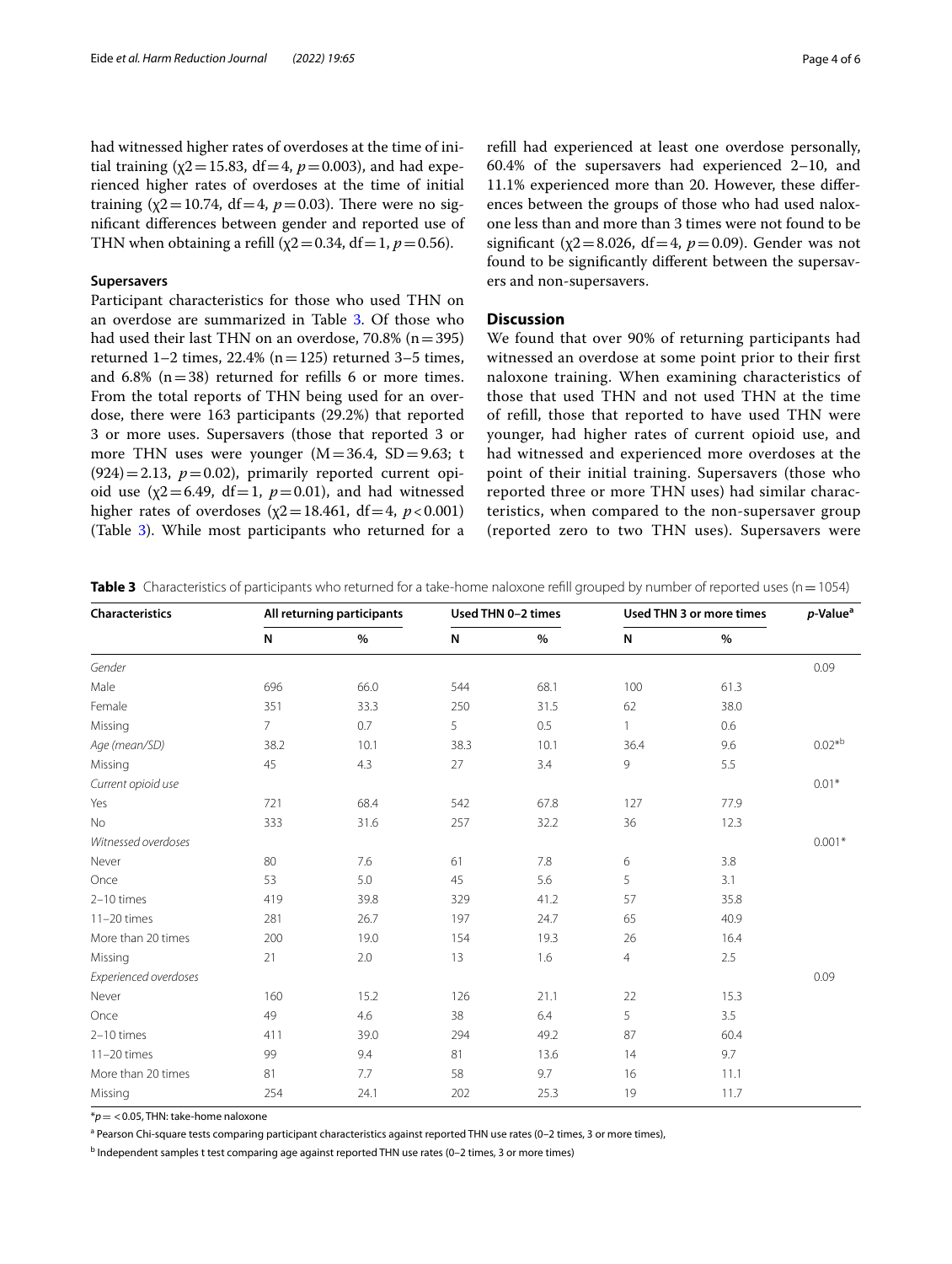had witnessed higher rates of overdoses at the time of initial training ( $\chi$ 2=15.83, df=4,  $p$ =0.003), and had experienced higher rates of overdoses at the time of initial training ( $\chi$ 2=10.74, df=4,  $p$ =0.03). There were no signifcant diferences between gender and reported use of THN when obtaining a refill ( $\chi$ 2 = 0.34, df = 1, *p* = 0.56).

# **Supersavers**

Participant characteristics for those who used THN on an overdose are summarized in Table [3](#page-3-0). Of those who had used their last THN on an overdose,  $70.8\%$  (n=395) returned  $1-2$  times,  $22.4\%$  (n=125) returned  $3-5$  times, and  $6.8\%$  (n=38) returned for refills 6 or more times. From the total reports of THN being used for an overdose, there were 163 participants (29.2%) that reported 3 or more uses. Supersavers (those that reported 3 or more THN uses were younger  $(M=36.4, SD=9.63; t$  $(924)=2.13$ ,  $p=0.02$ ), primarily reported current opioid use  $(\chi2=6.49, df=1, p=0.01)$ , and had witnessed higher rates of overdoses ( $\chi$ 2=18.461, df=4, *p*<0.001) (Table [3](#page-3-0)). While most participants who returned for a refll had experienced at least one overdose personally, 60.4% of the supersavers had experienced 2–10, and 11.1% experienced more than 20. However, these diferences between the groups of those who had used naloxone less than and more than 3 times were not found to be significant ( $\chi$ 2=8.026, df=4,  $p$ =0.09). Gender was not found to be signifcantly diferent between the supersavers and non-supersavers.

# **Discussion**

We found that over 90% of returning participants had witnessed an overdose at some point prior to their frst naloxone training. When examining characteristics of those that used THN and not used THN at the time of refll, those that reported to have used THN were younger, had higher rates of current opioid use, and had witnessed and experienced more overdoses at the point of their initial training. Supersavers (those who reported three or more THN uses) had similar characteristics, when compared to the non-supersaver group (reported zero to two THN uses). Supersavers were

| Characteristics       | All returning participants |      | Used THN 0-2 times |      | Used THN 3 or more times |      | $p$ -Value <sup>a</sup> |
|-----------------------|----------------------------|------|--------------------|------|--------------------------|------|-------------------------|
|                       | N                          | $\%$ | N                  | $\%$ | N                        | $\%$ |                         |
| Gender                |                            |      |                    |      |                          |      | 0.09                    |
| Male                  | 696                        | 66.0 | 544                | 68.1 | 100                      | 61.3 |                         |
| Female                | 351                        | 33.3 | 250                | 31.5 | 62                       | 38.0 |                         |
| Missing               | $7^{\circ}$                | 0.7  | 5                  | 0.5  | $\mathbf{1}$             | 0.6  |                         |
| Age (mean/SD)         | 38.2                       | 10.1 | 38.3               | 10.1 | 36.4                     | 9.6  | $0.02*^{b}$             |
| Missing               | 45                         | 4.3  | 27                 | 3.4  | 9                        | 5.5  |                         |
| Current opioid use    |                            |      |                    |      |                          |      | $0.01*$                 |
| Yes                   | 721                        | 68.4 | 542                | 67.8 | 127                      | 77.9 |                         |
| <b>No</b>             | 333                        | 31.6 | 257                | 32.2 | 36                       | 12.3 |                         |
| Witnessed overdoses   |                            |      |                    |      |                          |      | $0.001*$                |
| Never                 | 80                         | 7.6  | 61                 | 7.8  | 6                        | 3.8  |                         |
| Once                  | 53                         | 5.0  | 45                 | 5.6  | 5                        | 3.1  |                         |
| $2-10$ times          | 419                        | 39.8 | 329                | 41.2 | 57                       | 35.8 |                         |
| $11-20$ times         | 281                        | 26.7 | 197                | 24.7 | 65                       | 40.9 |                         |
| More than 20 times    | 200                        | 19.0 | 154                | 19.3 | 26                       | 16.4 |                         |
| Missing               | 21                         | 2.0  | 13                 | 1.6  | $\overline{4}$           | 2.5  |                         |
| Experienced overdoses |                            |      |                    |      |                          |      | 0.09                    |
| Never                 | 160                        | 15.2 | 126                | 21.1 | 22                       | 15.3 |                         |
| Once                  | 49                         | 4.6  | 38                 | 6.4  | 5                        | 3.5  |                         |
| 2-10 times            | 411                        | 39.0 | 294                | 49.2 | 87                       | 60.4 |                         |
| $11-20$ times         | 99                         | 9.4  | 81                 | 13.6 | 14                       | 9.7  |                         |
| More than 20 times    | 81                         | 7.7  | 58                 | 9.7  | 16                       | 11.1 |                         |
| Missing               | 254                        | 24.1 | 202                | 25.3 | 19                       | 11.7 |                         |

<span id="page-3-0"></span>**Table 3** Characteristics of participants who returned for a take-home naloxone refill grouped by number of reported uses (n = 1054)

\**p*= <0.05, THN: take-home naloxone

<sup>a</sup> Pearson Chi-square tests comparing participant characteristics against reported THN use rates (0–2 times, 3 or more times),

<sup>b</sup> Independent samples t test comparing age against reported THN use rates (0–2 times, 3 or more times)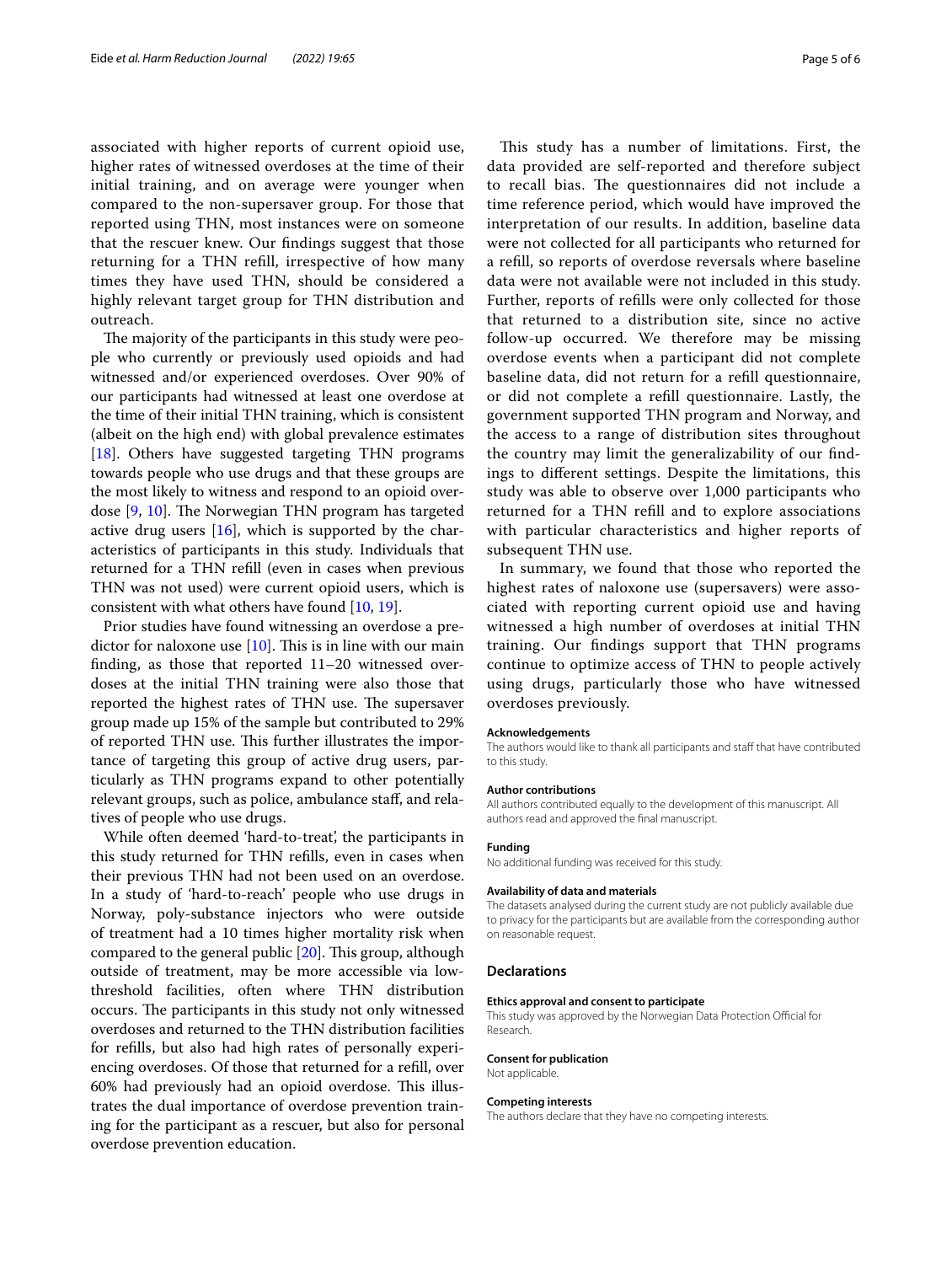associated with higher reports of current opioid use, higher rates of witnessed overdoses at the time of their initial training, and on average were younger when compared to the non-supersaver group. For those that reported using THN, most instances were on someone that the rescuer knew. Our fndings suggest that those returning for a THN refll, irrespective of how many times they have used THN, should be considered a highly relevant target group for THN distribution and outreach.

The majority of the participants in this study were people who currently or previously used opioids and had witnessed and/or experienced overdoses. Over 90% of our participants had witnessed at least one overdose at the time of their initial THN training, which is consistent (albeit on the high end) with global prevalence estimates [[18\]](#page-5-16). Others have suggested targeting THN programs towards people who use drugs and that these groups are the most likely to witness and respond to an opioid overdose  $[9, 10]$  $[9, 10]$  $[9, 10]$  $[9, 10]$ . The Norwegian THN program has targeted active drug users [\[16](#page-5-14)], which is supported by the characteristics of participants in this study. Individuals that returned for a THN refll (even in cases when previous THN was not used) were current opioid users, which is consistent with what others have found [\[10,](#page-5-17) [19](#page-5-18)].

Prior studies have found witnessing an overdose a predictor for naloxone use  $[10]$ . This is in line with our main fnding, as those that reported 11–20 witnessed overdoses at the initial THN training were also those that reported the highest rates of THN use. The supersaver group made up 15% of the sample but contributed to 29% of reported THN use. This further illustrates the importance of targeting this group of active drug users, particularly as THN programs expand to other potentially relevant groups, such as police, ambulance staf, and relatives of people who use drugs.

While often deemed 'hard-to-treat', the participants in this study returned for THN reflls, even in cases when their previous THN had not been used on an overdose. In a study of 'hard-to-reach' people who use drugs in Norway, poly-substance injectors who were outside of treatment had a 10 times higher mortality risk when compared to the general public  $[20]$  $[20]$  $[20]$ . This group, although outside of treatment, may be more accessible via lowthreshold facilities, often where THN distribution occurs. The participants in this study not only witnessed overdoses and returned to the THN distribution facilities for reflls, but also had high rates of personally experiencing overdoses. Of those that returned for a refll, over 60% had previously had an opioid overdose. This illustrates the dual importance of overdose prevention training for the participant as a rescuer, but also for personal overdose prevention education.

This study has a number of limitations. First, the data provided are self-reported and therefore subject to recall bias. The questionnaires did not include a time reference period, which would have improved the interpretation of our results. In addition, baseline data were not collected for all participants who returned for a refll, so reports of overdose reversals where baseline data were not available were not included in this study. Further, reports of reflls were only collected for those that returned to a distribution site, since no active follow-up occurred. We therefore may be missing overdose events when a participant did not complete baseline data, did not return for a refll questionnaire, or did not complete a refll questionnaire. Lastly, the government supported THN program and Norway, and the access to a range of distribution sites throughout the country may limit the generalizability of our fndings to diferent settings. Despite the limitations, this study was able to observe over 1,000 participants who returned for a THN refll and to explore associations with particular characteristics and higher reports of subsequent THN use.

In summary, we found that those who reported the highest rates of naloxone use (supersavers) were associated with reporting current opioid use and having witnessed a high number of overdoses at initial THN training. Our fndings support that THN programs continue to optimize access of THN to people actively using drugs, particularly those who have witnessed overdoses previously.

#### **Acknowledgements**

The authors would like to thank all participants and staff that have contributed to this study.

#### **Author contributions**

All authors contributed equally to the development of this manuscript. All authors read and approved the fnal manuscript.

#### **Funding**

No additional funding was received for this study.

#### **Availability of data and materials**

The datasets analysed during the current study are not publicly available due to privacy for the participants but are available from the corresponding author on reasonable request.

#### **Declarations**

#### **Ethics approval and consent to participate**

This study was approved by the Norwegian Data Protection Official for Research.

#### **Consent for publication** Not applicable.

#### **Competing interests**

The authors declare that they have no competing interests.